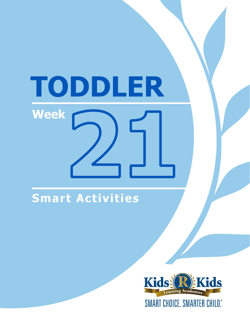# TODDLER **Week**

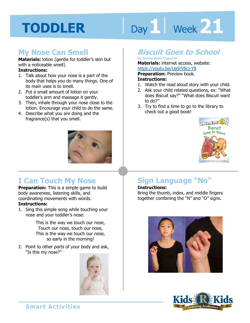# Day 1 **Week 21**

# **My Nose Can Smell**

**Materials:** lotion (gentle for toddler's skin but with a noticeable smell)

### **Instructions:**

- 1. Talk about how your nose is a part of the body that helps you do many things. One of its main uses is to smell.
- 2. Put a small amount of lotion on your toddler's arm and massage it gently.
- 3. Then, inhale through your nose close to the lotion. Encourage your child to do the same.
- 4. Describe what you are doing and the fragrance(s) that you smell.



# **I Can Touch My Nose**

**Preparation:** This is a simple game to build body awareness, listening skills, and coordinating movements with words.

# **Instructions:**

1. Sing this simple song while touching your nose and your toddler's nose:

> This is the way we touch our nose, Touch our nose, touch our nose, This is the way we touch our nose, so early in the morning!

2. Point to other parts of your body and ask, "Is this my nose?"



# **Biscuit Goes to School**

#### **by Alyssa Satin Capucilli Materials:** internet access, website: https://youtu.be/UaSrV8cj-Y8

**Preparation:** Preview book. **Instructions:** 

- 1. Watch the read aloud story with your child.
- 2. Ask your child related questions, ex: "What does Biscuit say?" "What does Biscuit want to do?"
- 3. Try to find a time to go to the library to check out a good book!



# **Sign Language "No"**

### **Instructions:**

Bring the thumb, index, and middle fingers together combining the "N" and "O" signs.



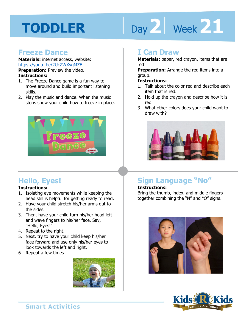# Day 2 | Week 21

# **Freeze Dance**

**Materials:** internet access, website: https://youtu.be/2UcZWXvgMZE **Preparation:** Preview the video. **Instructions:** 

- 1. The Freeze Dance game is a fun way to move around and build important listening skills.
- 2. Play the music and dance. When the music stops show your child how to freeze in place.



# **Hello, Eyes!**

# **Instructions:**

- 1. Isolating eye movements while keeping the head still is helpful for getting ready to read.
- 2. Have your child stretch his/her arms out to the sides.
- 3. Then, have your child turn his/her head left and wave fingers to his/her face. Say, "Hello, Eyes!"
- 4. Repeat to the right.
- 5. Next, try to have your child keep his/her face forward and use only his/her eyes to look towards the left and right.
- 6. Repeat a few times.



# **I Can Draw**

**Materials:** paper, red crayon, items that are red

reu<br>**Preparation:** Arrange the red items into a<br>group.<br>**Instructions:** group.

### **Instructions:**

- 1. Talk about the color red and describe each item that is red.
- 2. Hold up the crayon and describe how it is red.
- 3. What other colors does your child want to draw with?



# **Sign Language "No"**

## **Instructions:**

Bring the thumb, index, and middle fingers together combining the "N" and "O" signs.



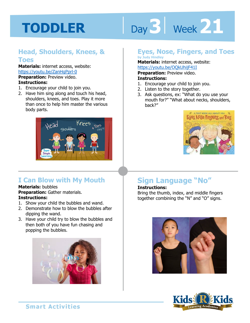# Day 3 | Week 21

# **Head, Shoulders, Knees, & Toes**

**Materials:** internet access, website: https://youtu.be/ZanHgPprl-0 **Preparation:** Preview video.

#### **Instructions:**

- 1. Encourage your child to join you.
- 2. Have him sing along and touch his head, shoulders, knees, and toes. Play it more than once to help him master the various body parts.



# **I Can Blow with My Mouth**

#### **Materials:** bubbles

**Preparation:** Gather materials. **Instructions:** 

- 1. Show your child the bubbles and wand.
- 2. Demonstrate how to blow the bubbles after dipping the wand.
- 3. Have your child try to blow the bubbles and then both of you have fun chasing and popping the bubbles.



# **Eyes, Nose, Fingers, and Toes**

# **by Judy Hindley**

**Materials:** internet access, website:

https://youtu.be/OQkUhijF41I<br>**Preparation:** Preview video.<br>**Instructions:**<br>1 Fncourage your child to join you **Preparation:** Preview video. **Instructions:** 

- 1. Encourage your child to join you.
- 2. Listen to the story together.
- 3. Ask questions, ex: "What do you use your mouth for?" "What about necks, shoulders, back?"



# **Sign Language "No"**

### **Instructions:**

Bring the thumb, index, and middle fingers together combining the "N" and "O" signs.



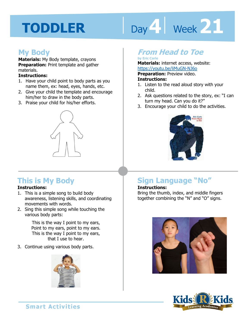# Day 4 **Week 21**

# **My Body**

**Materials:** My Body template, crayons **Preparation:** Print template and gather materials.

#### **Instructions:**

- 1. Have your child point to body parts as you name them, ex: head, eyes, hands, etc.
- 2. Give your child the template and encourage him/her to draw in the body parts.
- 3. Praise your child for his/her efforts.



# **This is My Body**

# **Instructions:**

- 1. This is a simple song to build body awareness, listening skills, and coordinating movements with words.
- 2. Sing this simple song while touching the various body parts:

This is the way I point to my ears, Point to my ears, point to my ears. This is the way I point to my ears, that I use to hear.

3. Continue using various body parts.



# **From Head to Toe**

# **by Eric Carle**

**Materials:** internet access, website: https://youtu.be/liMuGN-NJ6o

**Preparation:** Preview video.

#### **Instructions:**

- 1. Listen to the read aloud story with your child.
- 2. Ask questions related to the story, ex: "I can turn my head. Can you do it?"
- 3. Encourage your child to do the activities.



# **Sign Language "No"**

### **Instructions:**

Bring the thumb, index, and middle fingers together combining the "N" and "O" signs.



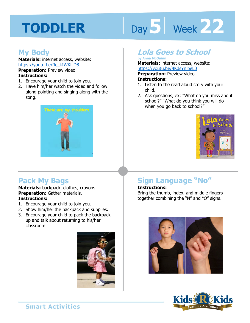# Day 5 | Week 22

# **My Body**

**Materials:** internet access, website: https://youtu.be/Rc\_kIWKLiD8 **Preparation:** Preview video.

## **Instructions:**

- 1. Encourage your child to join you.
- 2. Have him/her watch the video and follow along pointing and singing along with the song.



# **Lola Goes to School**

#### **by Anna McQuinn**

**Materials:** internet access, website:

https://youtu.be/4KdsYnibeL0<br>**Preparation:** Preview video.<br>**Instructions:**<br>1 Listen to the read aloud star with w **Preparation:** Preview video.

#### **Instructions:**

- 1. Listen to the read aloud story with your child.
- 2. Ask questions, ex: "What do you miss about school?" "What do you think you will do when you go back to school?"



# **Pack My Bags**

#### **Materials:** backpack, clothes, crayons **Preparation:** Gather materials. **Instructions:**

- 1. Encourage your child to join you.
- 2. Show him/her the backpack and supplies.
- 3. Encourage your child to pack the backpack up and talk about returning to his/her classroom.



# **Sign Language "No"**

### **Instructions:**

Bring the thumb, index, and middle fingers together combining the "N" and "O" signs.